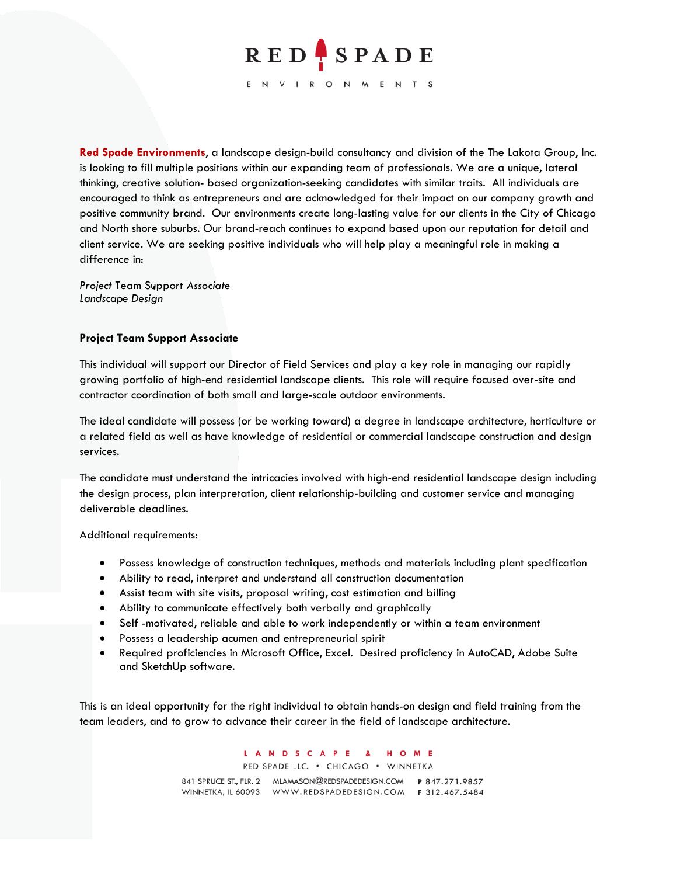

**Red Spade Environments**, a landscape design-build consultancy and division of the The Lakota Group, Inc. is looking to fill multiple positions within our expanding team of professionals. We are a unique, lateral thinking, creative solution- based organization-seeking candidates with similar traits. All individuals are encouraged to think as entrepreneurs and are acknowledged for their impact on our company growth and positive community brand. Our environments create long-lasting value for our clients in the City of Chicago and North shore suburbs. Our brand-reach continues to expand based upon our reputation for detail and client service. We are seeking positive individuals who will help play a meaningful role in making a difference in:

*Project* Team Support *Associate Landscape Design*

## **Project Team Support Associate**

This individual will support our Director of Field Services and play a key role in managing our rapidly growing portfolio of high-end residential landscape clients. This role will require focused over-site and contractor coordination of both small and large-scale outdoor environments.

The ideal candidate will possess (or be working toward) a degree in landscape architecture, horticulture or a related field as well as have knowledge of residential or commercial landscape construction and design services.

The candidate must understand the intricacies involved with high-end residential landscape design including the design process, plan interpretation, client relationship-building and customer service and managing deliverable deadlines.

### Additional requirements:

- Possess knowledge of construction techniques, methods and materials including plant specification
- Ability to read, interpret and understand all construction documentation
- Assist team with site visits, proposal writing, cost estimation and billing
- Ability to communicate effectively both verbally and graphically
- Self -motivated, reliable and able to work independently or within a team environment
- Possess a leadership acumen and entrepreneurial spirit
- Required proficiencies in Microsoft Office, Excel. Desired proficiency in AutoCAD, Adobe Suite and SketchUp software.

This is an ideal opportunity for the right individual to obtain hands-on design and field training from the team leaders, and to grow to advance their career in the field of landscape architecture.

> LANDSCAPE & H O M E RED SPADE LLC. . CHICAGO . WINNETKA

841 SPRUCE ST., FLR. 2 MLAMASON@REDSPADEDESIGN.COM P 847.271.9857 WINNETKA, IL 60093 WWW.REDSPADEDESIGN.COM F 312.467.5484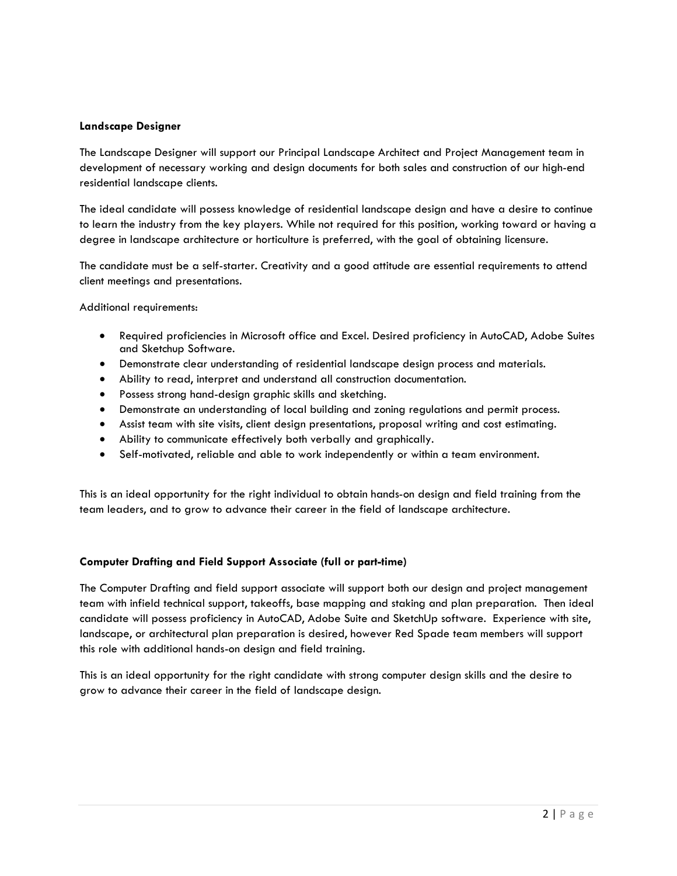# **Landscape Designer**

The Landscape Designer will support our Principal Landscape Architect and Project Management team in development of necessary working and design documents for both sales and construction of our high-end residential landscape clients.

The ideal candidate will possess knowledge of residential landscape design and have a desire to continue to learn the industry from the key players. While not required for this position, working toward or having a degree in landscape architecture or horticulture is preferred, with the goal of obtaining licensure.

The candidate must be a self-starter. Creativity and a good attitude are essential requirements to attend client meetings and presentations.

Additional requirements:

- Required proficiencies in Microsoft office and Excel. Desired proficiency in AutoCAD, Adobe Suites and Sketchup Software.
- Demonstrate clear understanding of residential landscape design process and materials.
- Ability to read, interpret and understand all construction documentation.
- Possess strong hand-design graphic skills and sketching.
- Demonstrate an understanding of local building and zoning regulations and permit process.
- Assist team with site visits, client design presentations, proposal writing and cost estimating.
- Ability to communicate effectively both verbally and graphically.
- Self-motivated, reliable and able to work independently or within a team environment.

This is an ideal opportunity for the right individual to obtain hands-on design and field training from the team leaders, and to grow to advance their career in the field of landscape architecture.

## **Computer Drafting and Field Support Associate (full or part-time)**

The Computer Drafting and field support associate will support both our design and project management team with infield technical support, takeoffs, base mapping and staking and plan preparation. Then ideal candidate will possess proficiency in AutoCAD, Adobe Suite and SketchUp software. Experience with site, landscape, or architectural plan preparation is desired, however Red Spade team members will support this role with additional hands-on design and field training.

This is an ideal opportunity for the right candidate with strong computer design skills and the desire to grow to advance their career in the field of landscape design.